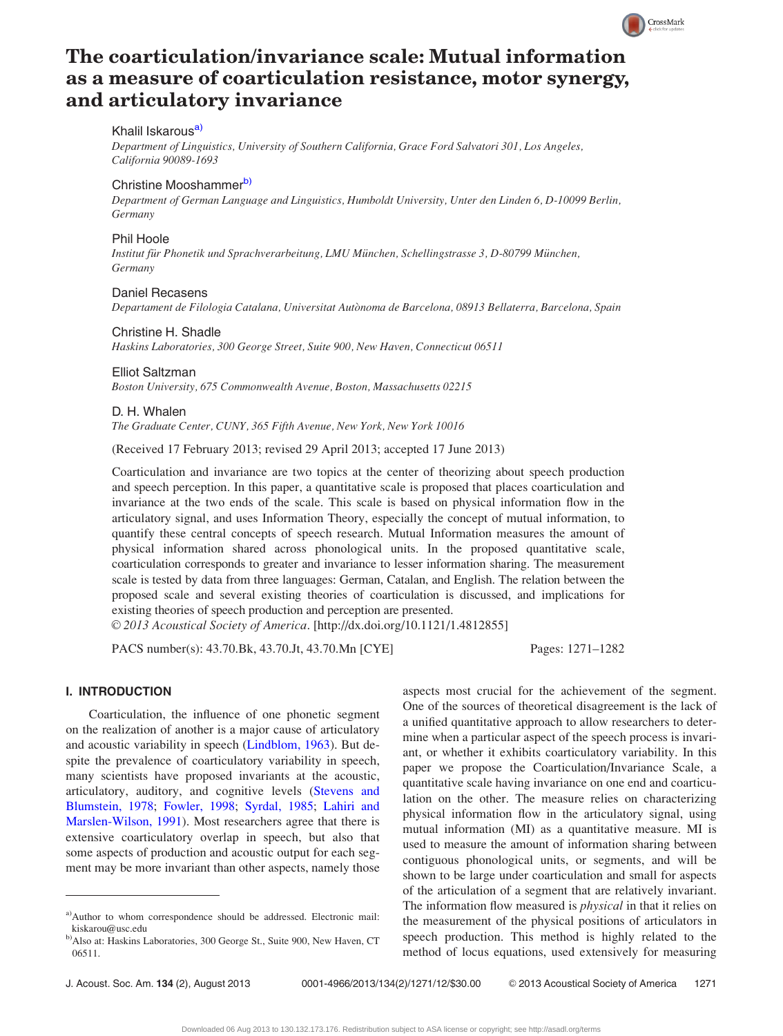# The coarticulation/invariance scale: Mutual information as a measure of coarticulation resistance, motor synergy, and articulatory invariance

## Khalil Iskarous<sup>a)</sup>

Department of Linguistics, University of Southern California, Grace Ford Salvatori 301, Los Angeles, California 90089-1693

## Christine Mooshammerb)

Department of German Language and Linguistics, Humboldt University, Unter den Linden 6, D-10099 Berlin, Germany

#### Phil Hoole

Institut für Phonetik und Sprachverarbeitung, LMU München, Schellingstrasse 3, D-80799 München, Germany

#### Daniel Recasens

Departament de Filologia Catalana, Universitat Autonoma de Barcelona, 08913 Bellaterra, Barcelona, Spain -

#### Christine H. Shadle

Haskins Laboratories, 300 George Street, Suite 900, New Haven, Connecticut 06511

#### Elliot Saltzman

Boston University, 675 Commonwealth Avenue, Boston, Massachusetts 02215

#### D. H. Whalen

The Graduate Center, CUNY, 365 Fifth Avenue, New York, New York 10016

(Received 17 February 2013; revised 29 April 2013; accepted 17 June 2013)

Coarticulation and invariance are two topics at the center of theorizing about speech production and speech perception. In this paper, a quantitative scale is proposed that places coarticulation and invariance at the two ends of the scale. This scale is based on physical information flow in the articulatory signal, and uses Information Theory, especially the concept of mutual information, to quantify these central concepts of speech research. Mutual Information measures the amount of physical information shared across phonological units. In the proposed quantitative scale, coarticulation corresponds to greater and invariance to lesser information sharing. The measurement scale is tested by data from three languages: German, Catalan, and English. The relation between the proposed scale and several existing theories of coarticulation is discussed, and implications for existing theories of speech production and perception are presented.

V<sup>C</sup> 2013 Acoustical Society of America. [http://dx.doi.org/10.1121/1.4812855]

PACS number(s): 43.70.Bk, 43.70.Jt, 43.70.Mn [CYE] Pages: 1271–1282

CrossMark

## I. INTRODUCTION

Coarticulation, the influence of one phonetic segment on the realization of another is a major cause of articulatory and acoustic variability in speech [\(Lindblom, 1963](#page-11-0)). But despite the prevalence of coarticulatory variability in speech, many scientists have proposed invariants at the acoustic, articulatory, auditory, and cognitive levels [\(Stevens and](#page-11-0) [Blumstein, 1978](#page-11-0); [Fowler, 1998;](#page-10-0) [Syrdal, 1985](#page-11-0); [Lahiri and](#page-11-0) [Marslen-Wilson, 1991](#page-11-0)). Most researchers agree that there is extensive coarticulatory overlap in speech, but also that some aspects of production and acoustic output for each segment may be more invariant than other aspects, namely those

aspects most crucial for the achievement of the segment. One of the sources of theoretical disagreement is the lack of a unified quantitative approach to allow researchers to determine when a particular aspect of the speech process is invariant, or whether it exhibits coarticulatory variability. In this paper we propose the Coarticulation/Invariance Scale, a quantitative scale having invariance on one end and coarticulation on the other. The measure relies on characterizing physical information flow in the articulatory signal, using mutual information (MI) as a quantitative measure. MI is used to measure the amount of information sharing between contiguous phonological units, or segments, and will be shown to be large under coarticulation and small for aspects of the articulation of a segment that are relatively invariant. The information flow measured is *physical* in that it relies on the measurement of the physical positions of articulators in speech production. This method is highly related to the method of locus equations, used extensively for measuring

a)Author to whom correspondence should be addressed. Electronic mail: [kiskarou@usc.edu](mailto:kiskarou@usc.edu)

b)Also at: Haskins Laboratories, 300 George St., Suite 900, New Haven, CT 06511.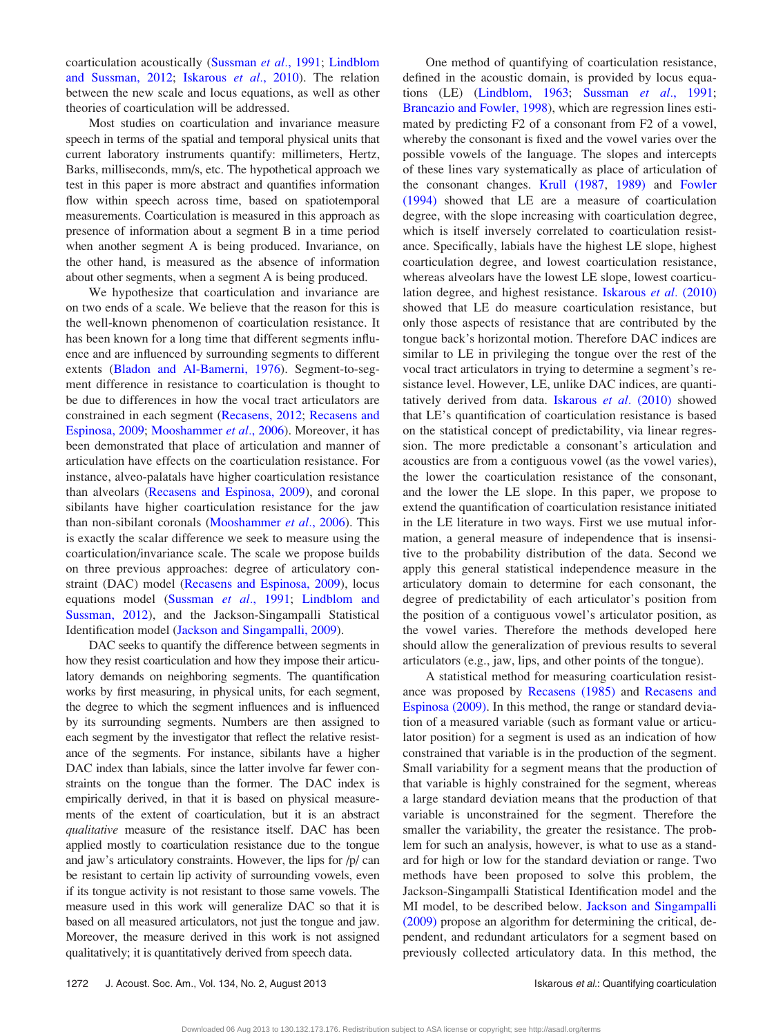coarticulation acoustically [\(Sussman](#page-11-0) et al., 1991; [Lindblom](#page-11-0) [and Sussman, 2012](#page-11-0); [Iskarous](#page-10-0) et al., 2010). The relation between the new scale and locus equations, as well as other theories of coarticulation will be addressed.

Most studies on coarticulation and invariance measure speech in terms of the spatial and temporal physical units that current laboratory instruments quantify: millimeters, Hertz, Barks, milliseconds, mm/s, etc. The hypothetical approach we test in this paper is more abstract and quantifies information flow within speech across time, based on spatiotemporal measurements. Coarticulation is measured in this approach as presence of information about a segment B in a time period when another segment A is being produced. Invariance, on the other hand, is measured as the absence of information about other segments, when a segment A is being produced.

We hypothesize that coarticulation and invariance are on two ends of a scale. We believe that the reason for this is the well-known phenomenon of coarticulation resistance. It has been known for a long time that different segments influence and are influenced by surrounding segments to different extents ([Bladon and Al-Bamerni, 1976](#page-10-0)). Segment-to-segment difference in resistance to coarticulation is thought to be due to differences in how the vocal tract articulators are constrained in each segment [\(Recasens, 2012](#page-11-0); [Recasens and](#page-11-0) [Espinosa, 2009;](#page-11-0) [Mooshammer](#page-11-0) et al., 2006). Moreover, it has been demonstrated that place of articulation and manner of articulation have effects on the coarticulation resistance. For instance, alveo-palatals have higher coarticulation resistance than alveolars [\(Recasens and Espinosa, 2009\)](#page-11-0), and coronal sibilants have higher coarticulation resistance for the jaw than non-sibilant coronals [\(Mooshammer](#page-11-0) et al., 2006). This is exactly the scalar difference we seek to measure using the coarticulation/invariance scale. The scale we propose builds on three previous approaches: degree of articulatory constraint (DAC) model [\(Recasens and Espinosa, 2009](#page-11-0)), locus equations model ([Sussman](#page-11-0) et al., 1991; [Lindblom and](#page-11-0) [Sussman, 2012\)](#page-11-0), and the Jackson-Singampalli Statistical Identification model ([Jackson and Singampalli, 2009](#page-10-0)).

DAC seeks to quantify the difference between segments in how they resist coarticulation and how they impose their articulatory demands on neighboring segments. The quantification works by first measuring, in physical units, for each segment, the degree to which the segment influences and is influenced by its surrounding segments. Numbers are then assigned to each segment by the investigator that reflect the relative resistance of the segments. For instance, sibilants have a higher DAC index than labials, since the latter involve far fewer constraints on the tongue than the former. The DAC index is empirically derived, in that it is based on physical measurements of the extent of coarticulation, but it is an abstract qualitative measure of the resistance itself. DAC has been applied mostly to coarticulation resistance due to the tongue and jaw's articulatory constraints. However, the lips for /p/ can be resistant to certain lip activity of surrounding vowels, even if its tongue activity is not resistant to those same vowels. The measure used in this work will generalize DAC so that it is based on all measured articulators, not just the tongue and jaw. Moreover, the measure derived in this work is not assigned qualitatively; it is quantitatively derived from speech data.

One method of quantifying of coarticulation resistance, defined in the acoustic domain, is provided by locus equations (LE) ([Lindblom, 1963;](#page-11-0) [Sussman](#page-11-0) et al., 1991; [Brancazio and Fowler, 1998](#page-10-0)), which are regression lines estimated by predicting F2 of a consonant from F2 of a vowel, whereby the consonant is fixed and the vowel varies over the possible vowels of the language. The slopes and intercepts of these lines vary systematically as place of articulation of the consonant changes. [Krull \(1987,](#page-11-0) [1989\)](#page-11-0) and [Fowler](#page-10-0) [\(1994\)](#page-10-0) showed that LE are a measure of coarticulation degree, with the slope increasing with coarticulation degree, which is itself inversely correlated to coarticulation resistance. Specifically, labials have the highest LE slope, highest coarticulation degree, and lowest coarticulation resistance, whereas alveolars have the lowest LE slope, lowest coarticulation degree, and highest resistance. [Iskarous](#page-10-0) et al. (2010) showed that LE do measure coarticulation resistance, but only those aspects of resistance that are contributed by the tongue back's horizontal motion. Therefore DAC indices are similar to LE in privileging the tongue over the rest of the vocal tract articulators in trying to determine a segment's resistance level. However, LE, unlike DAC indices, are quantitatively derived from data. [Iskarous](#page-10-0) et al. (2010) showed that LE's quantification of coarticulation resistance is based on the statistical concept of predictability, via linear regression. The more predictable a consonant's articulation and acoustics are from a contiguous vowel (as the vowel varies), the lower the coarticulation resistance of the consonant, and the lower the LE slope. In this paper, we propose to extend the quantification of coarticulation resistance initiated in the LE literature in two ways. First we use mutual information, a general measure of independence that is insensitive to the probability distribution of the data. Second we apply this general statistical independence measure in the articulatory domain to determine for each consonant, the degree of predictability of each articulator's position from the position of a contiguous vowel's articulator position, as the vowel varies. Therefore the methods developed here should allow the generalization of previous results to several articulators (e.g., jaw, lips, and other points of the tongue).

A statistical method for measuring coarticulation resistance was proposed by [Recasens \(1985\)](#page-11-0) and [Recasens and](#page-11-0) [Espinosa \(2009\)](#page-11-0). In this method, the range or standard deviation of a measured variable (such as formant value or articulator position) for a segment is used as an indication of how constrained that variable is in the production of the segment. Small variability for a segment means that the production of that variable is highly constrained for the segment, whereas a large standard deviation means that the production of that variable is unconstrained for the segment. Therefore the smaller the variability, the greater the resistance. The problem for such an analysis, however, is what to use as a standard for high or low for the standard deviation or range. Two methods have been proposed to solve this problem, the Jackson-Singampalli Statistical Identification model and the MI model, to be described below. [Jackson and Singampalli](#page-10-0) [\(2009\)](#page-10-0) propose an algorithm for determining the critical, dependent, and redundant articulators for a segment based on previously collected articulatory data. In this method, the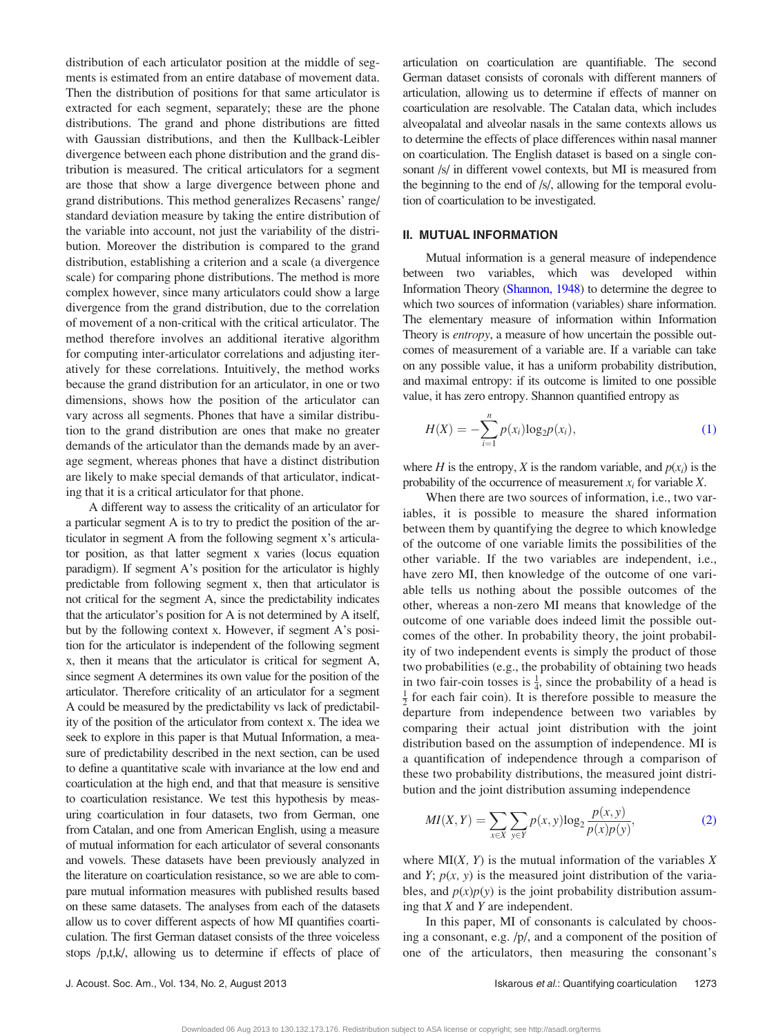<span id="page-2-0"></span>distribution of each articulator position at the middle of segments is estimated from an entire database of movement data. Then the distribution of positions for that same articulator is extracted for each segment, separately; these are the phone distributions. The grand and phone distributions are fitted with Gaussian distributions, and then the Kullback-Leibler divergence between each phone distribution and the grand distribution is measured. The critical articulators for a segment are those that show a large divergence between phone and grand distributions. This method generalizes Recasens' range/ standard deviation measure by taking the entire distribution of the variable into account, not just the variability of the distribution. Moreover the distribution is compared to the grand distribution, establishing a criterion and a scale (a divergence scale) for comparing phone distributions. The method is more complex however, since many articulators could show a large divergence from the grand distribution, due to the correlation of movement of a non-critical with the critical articulator. The method therefore involves an additional iterative algorithm for computing inter-articulator correlations and adjusting iteratively for these correlations. Intuitively, the method works because the grand distribution for an articulator, in one or two dimensions, shows how the position of the articulator can vary across all segments. Phones that have a similar distribution to the grand distribution are ones that make no greater demands of the articulator than the demands made by an average segment, whereas phones that have a distinct distribution are likely to make special demands of that articulator, indicating that it is a critical articulator for that phone.

A different way to assess the criticality of an articulator for a particular segment A is to try to predict the position of the articulator in segment A from the following segment x's articulator position, as that latter segment x varies (locus equation paradigm). If segment A's position for the articulator is highly predictable from following segment x, then that articulator is not critical for the segment A, since the predictability indicates that the articulator's position for A is not determined by A itself, but by the following context x. However, if segment A's position for the articulator is independent of the following segment x, then it means that the articulator is critical for segment A, since segment A determines its own value for the position of the articulator. Therefore criticality of an articulator for a segment A could be measured by the predictability vs lack of predictability of the position of the articulator from context x. The idea we seek to explore in this paper is that Mutual Information, a measure of predictability described in the next section, can be used to define a quantitative scale with invariance at the low end and coarticulation at the high end, and that that measure is sensitive to coarticulation resistance. We test this hypothesis by measuring coarticulation in four datasets, two from German, one from Catalan, and one from American English, using a measure of mutual information for each articulator of several consonants and vowels. These datasets have been previously analyzed in the literature on coarticulation resistance, so we are able to compare mutual information measures with published results based on these same datasets. The analyses from each of the datasets allow us to cover different aspects of how MI quantifies coarticulation. The first German dataset consists of the three voiceless stops /p,t,k/, allowing us to determine if effects of place of articulation on coarticulation are quantifiable. The second German dataset consists of coronals with different manners of articulation, allowing us to determine if effects of manner on coarticulation are resolvable. The Catalan data, which includes alveopalatal and alveolar nasals in the same contexts allows us to determine the effects of place differences within nasal manner on coarticulation. The English dataset is based on a single consonant /s/ in different vowel contexts, but MI is measured from the beginning to the end of /s/, allowing for the temporal evolution of coarticulation to be investigated.

#### II. MUTUAL INFORMATION

Mutual information is a general measure of independence between two variables, which was developed within Information Theory [\(Shannon, 1948\)](#page-11-0) to determine the degree to which two sources of information (variables) share information. The elementary measure of information within Information Theory is *entropy*, a measure of how uncertain the possible outcomes of measurement of a variable are. If a variable can take on any possible value, it has a uniform probability distribution, and maximal entropy: if its outcome is limited to one possible value, it has zero entropy. Shannon quantified entropy as

$$
H(X) = -\sum_{i=1}^{n} p(x_i) \log_2 p(x_i),
$$
 (1)

where *H* is the entropy, *X* is the random variable, and  $p(x_i)$  is the probability of the occurrence of measurement  $x_i$  for variable  $X$ .

When there are two sources of information, i.e., two variables, it is possible to measure the shared information between them by quantifying the degree to which knowledge of the outcome of one variable limits the possibilities of the other variable. If the two variables are independent, i.e., have zero MI, then knowledge of the outcome of one variable tells us nothing about the possible outcomes of the other, whereas a non-zero MI means that knowledge of the outcome of one variable does indeed limit the possible outcomes of the other. In probability theory, the joint probability of two independent events is simply the product of those two probabilities (e.g., the probability of obtaining two heads in two fair-coin tosses is  $\frac{1}{4}$ , since the probability of a head is  $\frac{1}{2}$  for each fair coin). It is therefore possible to measure the departure from independence between two variables by comparing their actual joint distribution with the joint distribution based on the assumption of independence. MI is a quantification of independence through a comparison of these two probability distributions, the measured joint distribution and the joint distribution assuming independence

$$
MI(X,Y) = \sum_{x \in X} \sum_{y \in Y} p(x,y) \log_2 \frac{p(x,y)}{p(x)p(y)},
$$
 (2)

where  $MI(X, Y)$  is the mutual information of the variables X and  $Y$ ;  $p(x, y)$  is the measured joint distribution of the variables, and  $p(x)p(y)$  is the joint probability distribution assuming that  $X$  and  $Y$  are independent.

In this paper, MI of consonants is calculated by choosing a consonant, e.g. /p/, and a component of the position of one of the articulators, then measuring the consonant's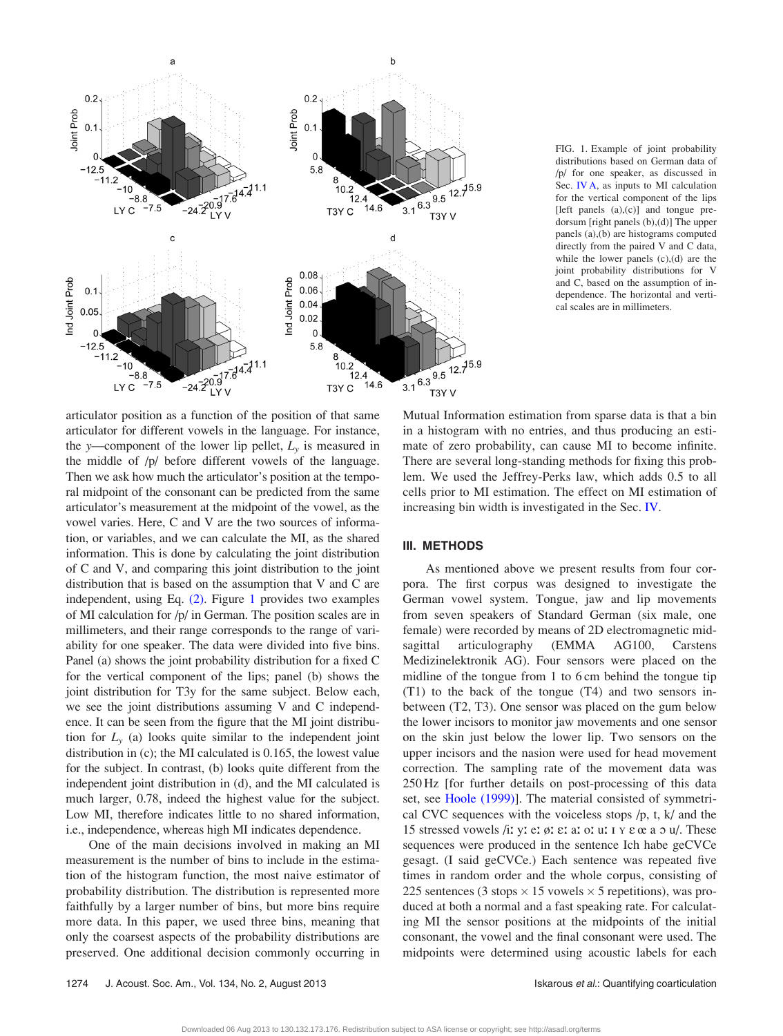<span id="page-3-0"></span>

FIG. 1. Example of joint probability distributions based on German data of /p/ for one speaker, as discussed in Sec. [IV A](#page-4-0), as inputs to MI calculation for the vertical component of the lips [left panels (a),(c)] and tongue predorsum [right panels (b),(d)] The upper panels (a),(b) are histograms computed directly from the paired V and C data, while the lower panels (c),(d) are the joint probability distributions for V and C, based on the assumption of independence. The horizontal and vertical scales are in millimeters.

articulator position as a function of the position of that same articulator for different vowels in the language. For instance, the y—component of the lower lip pellet,  $L<sub>v</sub>$  is measured in the middle of /p/ before different vowels of the language. Then we ask how much the articulator's position at the temporal midpoint of the consonant can be predicted from the same articulator's measurement at the midpoint of the vowel, as the vowel varies. Here, C and V are the two sources of information, or variables, and we can calculate the MI, as the shared information. This is done by calculating the joint distribution of C and V, and comparing this joint distribution to the joint distribution that is based on the assumption that V and C are independent, using Eq. [\(2\)](#page-2-0). Figure 1 provides two examples of MI calculation for /p/ in German. The position scales are in millimeters, and their range corresponds to the range of variability for one speaker. The data were divided into five bins. Panel (a) shows the joint probability distribution for a fixed C for the vertical component of the lips; panel (b) shows the joint distribution for T3y for the same subject. Below each, we see the joint distributions assuming V and C independence. It can be seen from the figure that the MI joint distribution for  $L<sub>v</sub>$  (a) looks quite similar to the independent joint distribution in (c); the MI calculated is 0.165, the lowest value for the subject. In contrast, (b) looks quite different from the independent joint distribution in (d), and the MI calculated is much larger, 0.78, indeed the highest value for the subject. Low MI, therefore indicates little to no shared information, i.e., independence, whereas high MI indicates dependence.

One of the main decisions involved in making an MI measurement is the number of bins to include in the estimation of the histogram function, the most naive estimator of probability distribution. The distribution is represented more faithfully by a larger number of bins, but more bins require more data. In this paper, we used three bins, meaning that only the coarsest aspects of the probability distributions are preserved. One additional decision commonly occurring in Mutual Information estimation from sparse data is that a bin in a histogram with no entries, and thus producing an estimate of zero probability, can cause MI to become infinite. There are several long-standing methods for fixing this problem. We used the Jeffrey-Perks law, which adds 0.5 to all cells prior to MI estimation. The effect on MI estimation of increasing bin width is investigated in the Sec. [IV.](#page-4-0)

## III. METHODS

As mentioned above we present results from four corpora. The first corpus was designed to investigate the German vowel system. Tongue, jaw and lip movements from seven speakers of Standard German (six male, one female) were recorded by means of 2D electromagnetic midsagittal articulography (EMMA AG100, Carstens Medizinelektronik AG). Four sensors were placed on the midline of the tongue from 1 to 6 cm behind the tongue tip (T1) to the back of the tongue (T4) and two sensors inbetween (T2, T3). One sensor was placed on the gum below the lower incisors to monitor jaw movements and one sensor on the skin just below the lower lip. Two sensors on the upper incisors and the nasion were used for head movement correction. The sampling rate of the movement data was 250 Hz [for further details on post-processing of this data set, see [Hoole \(1999\)\]](#page-10-0). The material consisted of symmetrical CVC sequences with the voiceless stops  $/p$ , t,  $k/$  and the 15 stressed vowels /it yt et øt  $\varepsilon$ t at ot ut  $I$   $Y \varepsilon$  œ a  $\sigma$  u/. These sequences were produced in the sentence Ich habe geCVCe gesagt. (I said geCVCe.) Each sentence was repeated five times in random order and the whole corpus, consisting of 225 sentences (3 stops  $\times$  15 vowels  $\times$  5 repetitions), was produced at both a normal and a fast speaking rate. For calculating MI the sensor positions at the midpoints of the initial consonant, the vowel and the final consonant were used. The midpoints were determined using acoustic labels for each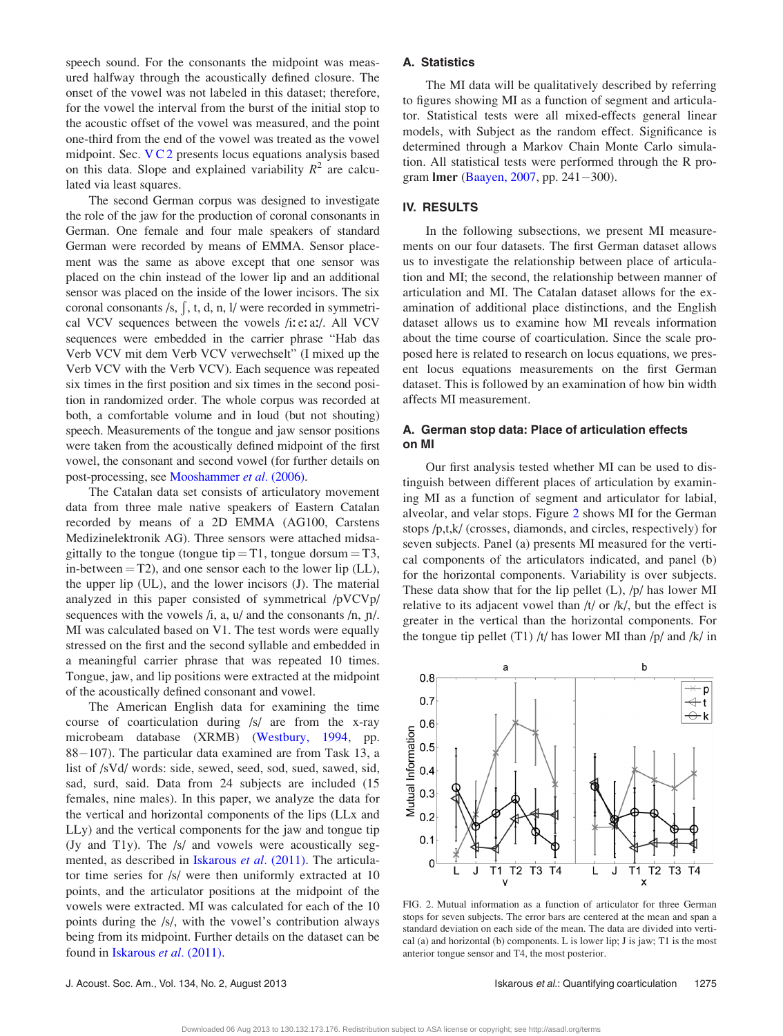<span id="page-4-0"></span>speech sound. For the consonants the midpoint was measured halfway through the acoustically defined closure. The onset of the vowel was not labeled in this dataset; therefore, for the vowel the interval from the burst of the initial stop to the acoustic offset of the vowel was measured, and the point one-third from the end of the vowel was treated as the vowel midpoint. Sec. [VC2](#page-9-0) presents locus equations analysis based on this data. Slope and explained variability  $R^2$  are calculated via least squares.

The second German corpus was designed to investigate the role of the jaw for the production of coronal consonants in German. One female and four male speakers of standard German were recorded by means of EMMA. Sensor placement was the same as above except that one sensor was placed on the chin instead of the lower lip and an additional sensor was placed on the inside of the lower incisors. The six coronal consonants  $/s$ ,  $\int$ ,  $t$ ,  $d$ ,  $n$ ,  $1$ / were recorded in symmetrical VCV sequences between the vowels /i: e: a:/. All VCV sequences were embedded in the carrier phrase "Hab das Verb VCV mit dem Verb VCV verwechselt" (I mixed up the Verb VCV with the Verb VCV). Each sequence was repeated six times in the first position and six times in the second position in randomized order. The whole corpus was recorded at both, a comfortable volume and in loud (but not shouting) speech. Measurements of the tongue and jaw sensor positions were taken from the acoustically defined midpoint of the first vowel, the consonant and second vowel (for further details on post-processing, see [Mooshammer](#page-11-0) et al. (2006).

The Catalan data set consists of articulatory movement data from three male native speakers of Eastern Catalan recorded by means of a 2D EMMA (AG100, Carstens Medizinelektronik AG). Three sensors were attached midsagittally to the tongue (tongue tip = T1, tongue dorsum = T3, in-between  $=$  T2), and one sensor each to the lower lip (LL), the upper lip (UL), and the lower incisors (J). The material analyzed in this paper consisted of symmetrical /pVCVp/ sequences with the vowels  $/i$ , a,  $u/$  and the consonants  $/n$ ,  $n/$ . MI was calculated based on V1. The test words were equally stressed on the first and the second syllable and embedded in a meaningful carrier phrase that was repeated 10 times. Tongue, jaw, and lip positions were extracted at the midpoint of the acoustically defined consonant and vowel.

The American English data for examining the time course of coarticulation during /s/ are from the x-ray microbeam database (XRMB) ([Westbury, 1994](#page-11-0), pp. 88-107). The particular data examined are from Task 13, a list of /sVd/ words: side, sewed, seed, sod, sued, sawed, sid, sad, surd, said. Data from 24 subjects are included (15 females, nine males). In this paper, we analyze the data for the vertical and horizontal components of the lips (LLx and LLy) and the vertical components for the jaw and tongue tip (Jy and T1y). The /s/ and vowels were acoustically seg-mented, as described in [Iskarous](#page-10-0) et al. (2011). The articulator time series for /s/ were then uniformly extracted at 10 points, and the articulator positions at the midpoint of the vowels were extracted. MI was calculated for each of the 10 points during the /s/, with the vowel's contribution always being from its midpoint. Further details on the dataset can be found in [Iskarous](#page-10-0) *et al.* (2011).

#### A. Statistics

The MI data will be qualitatively described by referring to figures showing MI as a function of segment and articulator. Statistical tests were all mixed-effects general linear models, with Subject as the random effect. Significance is determined through a Markov Chain Monte Carlo simulation. All statistical tests were performed through the R pro-gram Imer [\(Baayen, 2007](#page-10-0), pp. 241–300).

## IV. RESULTS

In the following subsections, we present MI measurements on our four datasets. The first German dataset allows us to investigate the relationship between place of articulation and MI; the second, the relationship between manner of articulation and MI. The Catalan dataset allows for the examination of additional place distinctions, and the English dataset allows us to examine how MI reveals information about the time course of coarticulation. Since the scale proposed here is related to research on locus equations, we present locus equations measurements on the first German dataset. This is followed by an examination of how bin width affects MI measurement.

## A. German stop data: Place of articulation effects on MI

Our first analysis tested whether MI can be used to distinguish between different places of articulation by examining MI as a function of segment and articulator for labial, alveolar, and velar stops. Figure 2 shows MI for the German stops /p,t,k/ (crosses, diamonds, and circles, respectively) for seven subjects. Panel (a) presents MI measured for the vertical components of the articulators indicated, and panel (b) for the horizontal components. Variability is over subjects. These data show that for the lip pellet (L), /p/ has lower MI relative to its adjacent vowel than /t/ or /k/, but the effect is greater in the vertical than the horizontal components. For the tongue tip pellet  $(T1) / t /$  has lower MI than  $/p /$  and  $/k /$  in



FIG. 2. Mutual information as a function of articulator for three German stops for seven subjects. The error bars are centered at the mean and span a standard deviation on each side of the mean. The data are divided into vertical (a) and horizontal (b) components. L is lower lip; J is jaw; T1 is the most anterior tongue sensor and T4, the most posterior.

J. Acoust. Soc. Am., Vol. 134, No. 2, August 2013 **Iskarous et al.: Quantifying coarticulation** 1275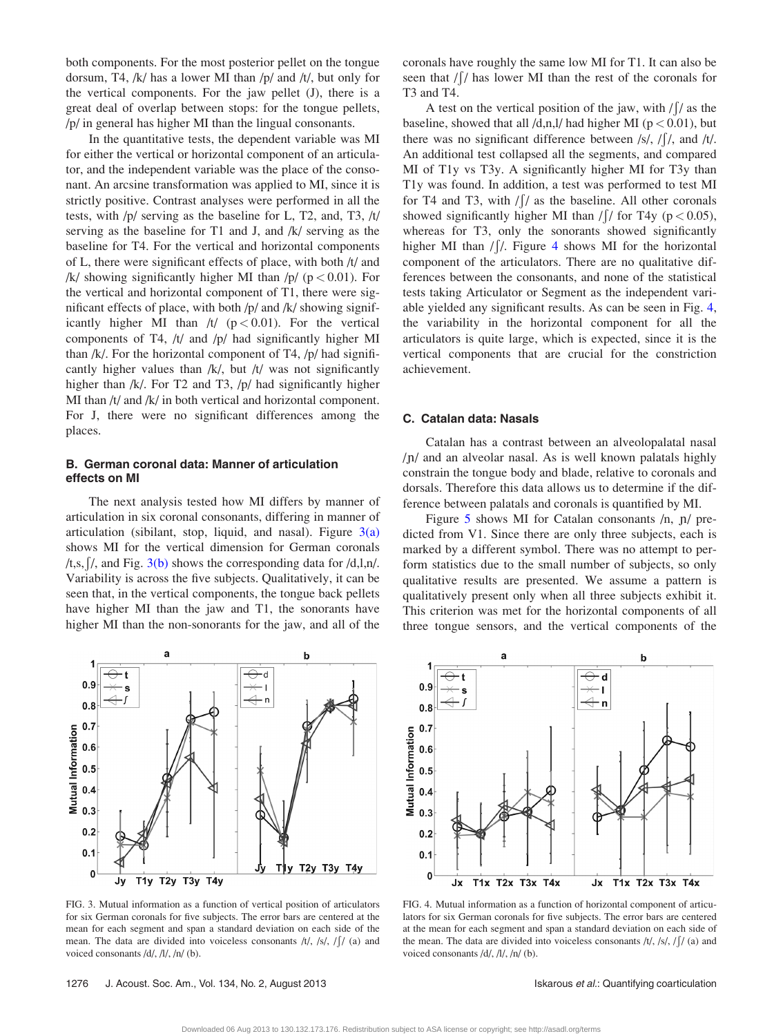both components. For the most posterior pellet on the tongue dorsum, T4, /k/ has a lower MI than /p/ and /t/, but only for the vertical components. For the jaw pellet (J), there is a great deal of overlap between stops: for the tongue pellets, /p/ in general has higher MI than the lingual consonants.

In the quantitative tests, the dependent variable was MI for either the vertical or horizontal component of an articulator, and the independent variable was the place of the consonant. An arcsine transformation was applied to MI, since it is strictly positive. Contrast analyses were performed in all the tests, with /p/ serving as the baseline for L, T2, and, T3, /t/ serving as the baseline for T1 and J, and /k/ serving as the baseline for T4. For the vertical and horizontal components of L, there were significant effects of place, with both /t/ and /k/ showing significantly higher MI than /p/  $(p < 0.01)$ . For the vertical and horizontal component of T1, there were significant effects of place, with both /p/ and /k/ showing significantly higher MI than  $/t/$  ( $p < 0.01$ ). For the vertical components of T4, /t/ and /p/ had significantly higher MI than  $/k$ . For the horizontal component of T4,  $/p$  had significantly higher values than /k/, but /t/ was not significantly higher than /k/. For T2 and T3, /p/ had significantly higher MI than /t/ and /k/ in both vertical and horizontal component. For J, there were no significant differences among the places.

#### B. German coronal data: Manner of articulation effects on MI

The next analysis tested how MI differs by manner of articulation in six coronal consonants, differing in manner of articulation (sibilant, stop, liquid, and nasal). Figure  $3(a)$ shows MI for the vertical dimension for German coronals  $/t$ ,s,  $\int$ , and Fig. 3(b) shows the corresponding data for  $\int d$ ,l,n,l, Variability is across the five subjects. Qualitatively, it can be seen that, in the vertical components, the tongue back pellets have higher MI than the jaw and T1, the sonorants have higher MI than the non-sonorants for the jaw, and all of the coronals have roughly the same low MI for T1. It can also be second is never oughly the same fow  $\overline{M}$  for  $\overline{T}$ ; it can also be seen that  $\int \int$  has lower MI than the rest of the coronals for T3 and T4.

A test on the vertical position of the jaw, with  $\int \int$  as the baseline, showed that all  $/d,n,l$  had higher MI ( $p < 0.01$ ), but there was no significant difference between  $\frac{|s|}{\sqrt{2}}$ , and  $\frac{1}{\sqrt{2}}$ , and  $\frac{1}{\sqrt{2}}$ , An additional test collapsed all the segments, and compared MI of T1y vs T3y. A significantly higher MI for T3y than T1y was found. In addition, a test was performed to test MI for T4 and T3, with  $\int \int$  as the baseline. All other coronals showed significantly higher MI than  $\int$  for T4y (p < 0.05), whereas for T3, only the sonorants showed significantly higher MI than  $/ \int$ . Figure 4 shows MI for the horizontal component of the articulators. There are no qualitative differences between the consonants, and none of the statistical tests taking Articulator or Segment as the independent variable yielded any significant results. As can be seen in Fig. 4, the variability in the horizontal component for all the articulators is quite large, which is expected, since it is the vertical components that are crucial for the constriction achievement.

#### C. Catalan data: Nasals

Catalan has a contrast between an alveolopalatal nasal  $/p/$  and an alveolar nasal. As is well known palatals highly constrain the tongue body and blade, relative to coronals and dorsals. Therefore this data allows us to determine if the difference between palatals and coronals is quantified by MI.

Figure [5](#page-6-0) shows MI for Catalan consonants  $/n$ ,  $n/p$  predicted from V1. Since there are only three subjects, each is marked by a different symbol. There was no attempt to perform statistics due to the small number of subjects, so only qualitative results are presented. We assume a pattern is qualitatively present only when all three subjects exhibit it. This criterion was met for the horizontal components of all three tongue sensors, and the vertical components of the



FIG. 3. Mutual information as a function of vertical position of articulators for six German coronals for five subjects. The error bars are centered at the mean for each segment and span a standard deviation on each side of the mean. The data are divided into voiceless consonants  $|t|$ ,  $|s|$ ,  $|f|$  (a) and voiced consonants /d/, /l/, /n/ (b).



FIG. 4. Mutual information as a function of horizontal component of articulators for six German coronals for five subjects. The error bars are centered at the mean for each segment and span a standard deviation on each side of the mean. The data are divided into voiceless consonants  $/t$ ,  $/s$ ,  $/s$   $/f$  (a) and voiced consonants /d/, /l/, /n/ (b).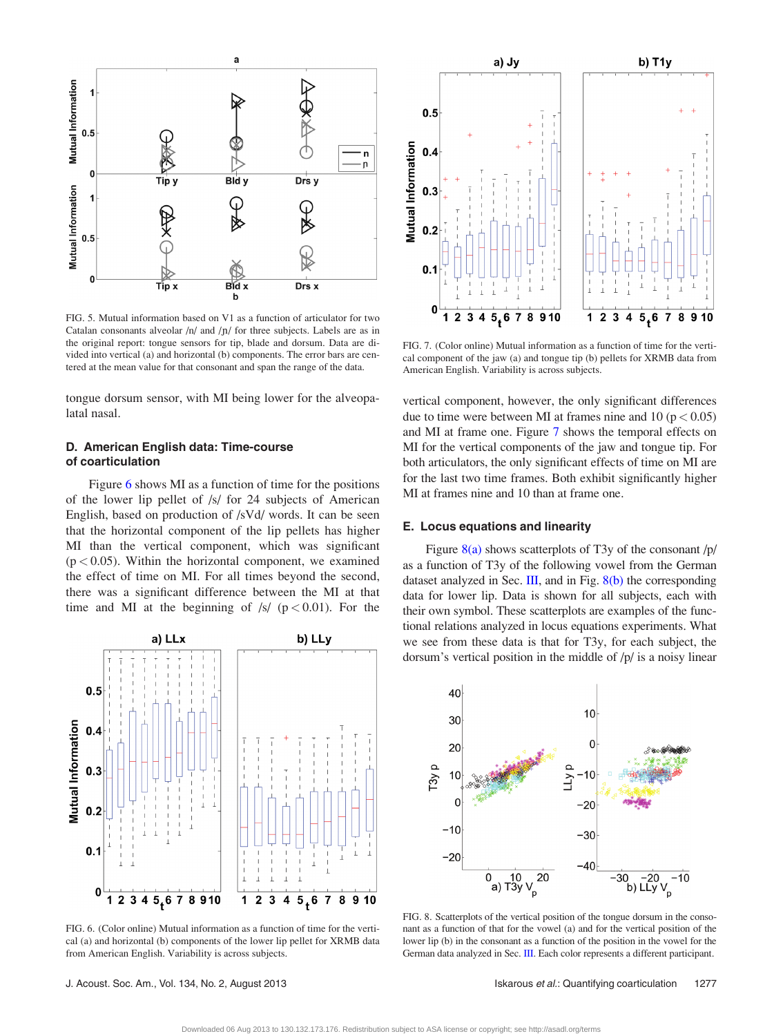<span id="page-6-0"></span>

FIG. 5. Mutual information based on V1 as a function of articulator for two Catalan consonants alveolar  $/n/$  and  $/n/$  for three subjects. Labels are as in the original report: tongue sensors for tip, blade and dorsum. Data are divided into vertical (a) and horizontal (b) components. The error bars are centered at the mean value for that consonant and span the range of the data.

tongue dorsum sensor, with MI being lower for the alveopalatal nasal.

#### D. American English data: Time-course of coarticulation

Figure 6 shows MI as a function of time for the positions of the lower lip pellet of /s/ for 24 subjects of American English, based on production of /sVd/ words. It can be seen that the horizontal component of the lip pellets has higher MI than the vertical component, which was significant  $(p < 0.05)$ . Within the horizontal component, we examined the effect of time on MI. For all times beyond the second, there was a significant difference between the MI at that time and MI at the beginning of  $\frac{s}{r}$  (p < 0.01). For the



FIG. 6. (Color online) Mutual information as a function of time for the vertical (a) and horizontal (b) components of the lower lip pellet for XRMB data from American English. Variability is across subjects.

J. Acoust. Soc. Am., Vol. 134, No. 2, August 2013 **Iskarous et al.: Quantifying coarticulation** 1277



FIG. 7. (Color online) Mutual information as a function of time for the vertical component of the jaw (a) and tongue tip (b) pellets for XRMB data from American English. Variability is across subjects.

vertical component, however, the only significant differences due to time were between MI at frames nine and  $10 (p < 0.05)$ and MI at frame one. Figure 7 shows the temporal effects on MI for the vertical components of the jaw and tongue tip. For both articulators, the only significant effects of time on MI are for the last two time frames. Both exhibit significantly higher MI at frames nine and 10 than at frame one.

#### E. Locus equations and linearity

Figure  $8(a)$  shows scatterplots of T3y of the consonant  $/p/$ as a function of T3y of the following vowel from the German dataset analyzed in Sec. [III](#page-3-0), and in Fig.  $8(b)$  the corresponding data for lower lip. Data is shown for all subjects, each with their own symbol. These scatterplots are examples of the functional relations analyzed in locus equations experiments. What we see from these data is that for T3y, for each subject, the dorsum's vertical position in the middle of /p/ is a noisy linear



FIG. 8. Scatterplots of the vertical position of the tongue dorsum in the consonant as a function of that for the vowel (a) and for the vertical position of the lower lip (b) in the consonant as a function of the position in the vowel for the German data analyzed in Sec. [III](#page-3-0). Each color represents a different participant.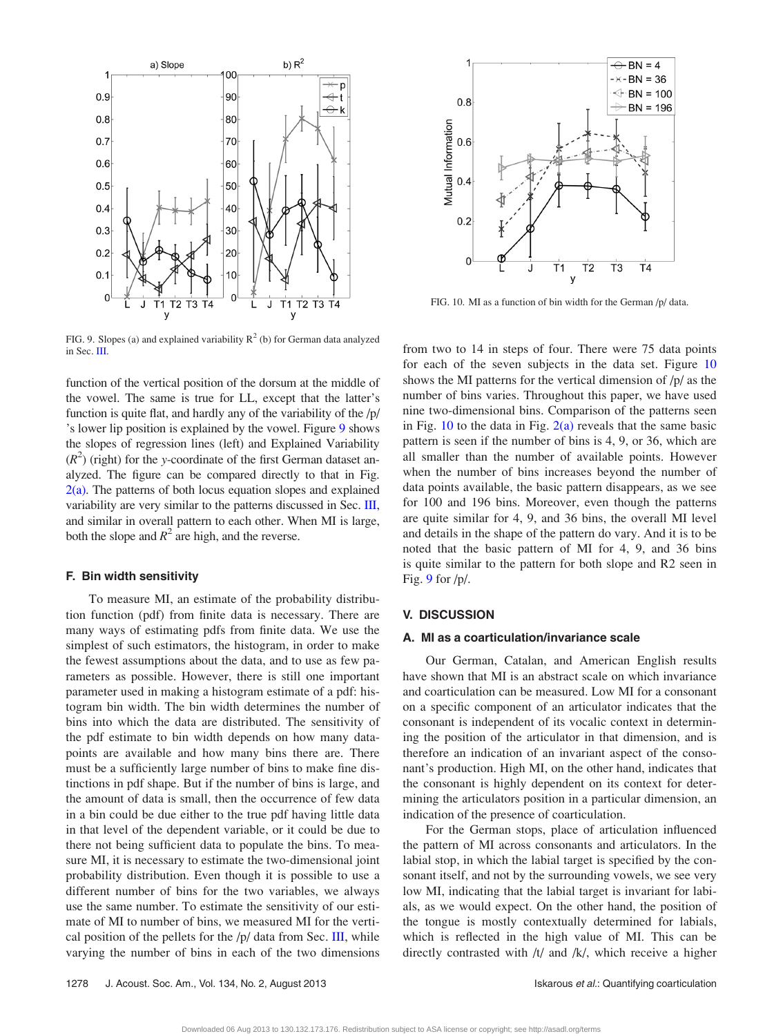<span id="page-7-0"></span>

FIG. 9. Slopes (a) and explained variability  $R^2$  (b) for German data analyzed in Sec. [III](#page-3-0).

function of the vertical position of the dorsum at the middle of the vowel. The same is true for LL, except that the latter's function is quite flat, and hardly any of the variability of the /p/ 's lower lip position is explained by the vowel. Figure 9 shows the slopes of regression lines (left) and Explained Variability  $(R<sup>2</sup>)$  (right) for the y-coordinate of the first German dataset analyzed. The figure can be compared directly to that in Fig.  $2(a)$ . The patterns of both locus equation slopes and explained variability are very similar to the patterns discussed in Sec. [III](#page-3-0), and similar in overall pattern to each other. When MI is large, both the slope and  $R^2$  are high, and the reverse.

## F. Bin width sensitivity

To measure MI, an estimate of the probability distribution function (pdf) from finite data is necessary. There are many ways of estimating pdfs from finite data. We use the simplest of such estimators, the histogram, in order to make the fewest assumptions about the data, and to use as few parameters as possible. However, there is still one important parameter used in making a histogram estimate of a pdf: histogram bin width. The bin width determines the number of bins into which the data are distributed. The sensitivity of the pdf estimate to bin width depends on how many datapoints are available and how many bins there are. There must be a sufficiently large number of bins to make fine distinctions in pdf shape. But if the number of bins is large, and the amount of data is small, then the occurrence of few data in a bin could be due either to the true pdf having little data in that level of the dependent variable, or it could be due to there not being sufficient data to populate the bins. To measure MI, it is necessary to estimate the two-dimensional joint probability distribution. Even though it is possible to use a different number of bins for the two variables, we always use the same number. To estimate the sensitivity of our estimate of MI to number of bins, we measured MI for the vertical position of the pellets for the /p/ data from Sec. [III,](#page-3-0) while varying the number of bins in each of the two dimensions



FIG. 10. MI as a function of bin width for the German /p/ data.

from two to 14 in steps of four. There were 75 data points for each of the seven subjects in the data set. Figure 10 shows the MI patterns for the vertical dimension of /p/ as the number of bins varies. Throughout this paper, we have used nine two-dimensional bins. Comparison of the patterns seen in Fig. 10 to the data in Fig.  $2(a)$  reveals that the same basic pattern is seen if the number of bins is 4, 9, or 36, which are all smaller than the number of available points. However when the number of bins increases beyond the number of data points available, the basic pattern disappears, as we see for 100 and 196 bins. Moreover, even though the patterns are quite similar for 4, 9, and 36 bins, the overall MI level and details in the shape of the pattern do vary. And it is to be noted that the basic pattern of MI for 4, 9, and 36 bins is quite similar to the pattern for both slope and R2 seen in Fig.  $9$  for  $/p/$ .

#### V. DISCUSSION

#### A. MI as a coarticulation/invariance scale

Our German, Catalan, and American English results have shown that MI is an abstract scale on which invariance and coarticulation can be measured. Low MI for a consonant on a specific component of an articulator indicates that the consonant is independent of its vocalic context in determining the position of the articulator in that dimension, and is therefore an indication of an invariant aspect of the consonant's production. High MI, on the other hand, indicates that the consonant is highly dependent on its context for determining the articulators position in a particular dimension, an indication of the presence of coarticulation.

For the German stops, place of articulation influenced the pattern of MI across consonants and articulators. In the labial stop, in which the labial target is specified by the consonant itself, and not by the surrounding vowels, we see very low MI, indicating that the labial target is invariant for labials, as we would expect. On the other hand, the position of the tongue is mostly contextually determined for labials, which is reflected in the high value of MI. This can be directly contrasted with /t/ and /k/, which receive a higher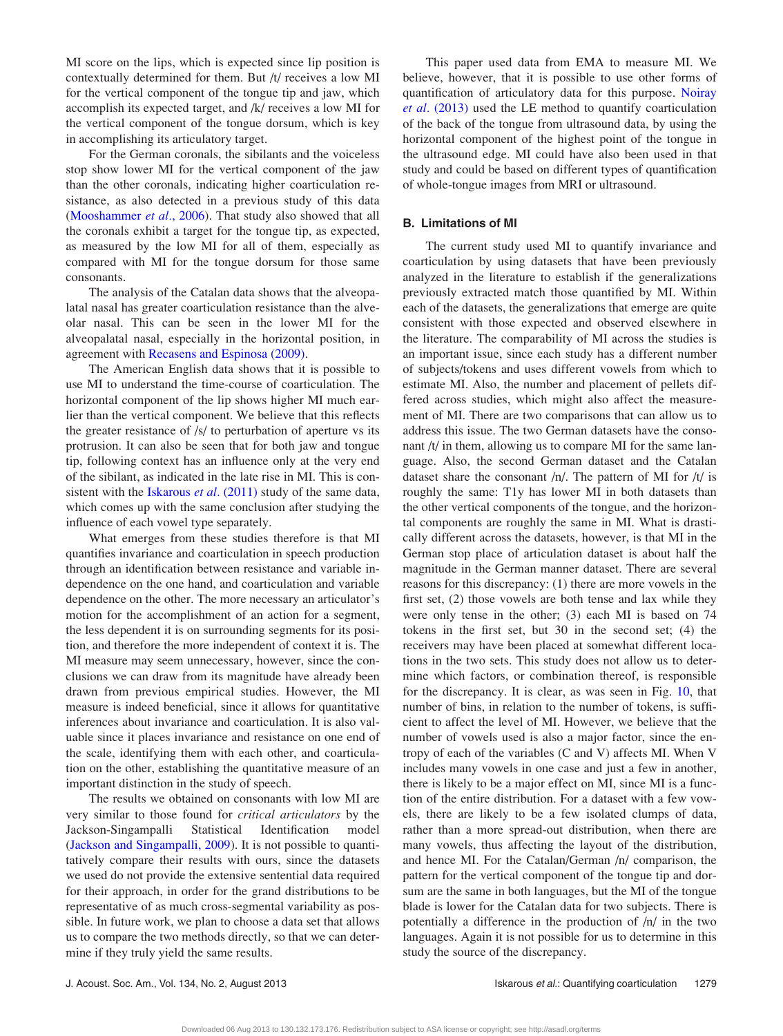MI score on the lips, which is expected since lip position is contextually determined for them. But /t/ receives a low MI for the vertical component of the tongue tip and jaw, which accomplish its expected target, and /k/ receives a low MI for the vertical component of the tongue dorsum, which is key in accomplishing its articulatory target.

For the German coronals, the sibilants and the voiceless stop show lower MI for the vertical component of the jaw than the other coronals, indicating higher coarticulation resistance, as also detected in a previous study of this data ([Mooshammer](#page-11-0) et al., 2006). That study also showed that all the coronals exhibit a target for the tongue tip, as expected, as measured by the low MI for all of them, especially as compared with MI for the tongue dorsum for those same consonants.

The analysis of the Catalan data shows that the alveopalatal nasal has greater coarticulation resistance than the alveolar nasal. This can be seen in the lower MI for the alveopalatal nasal, especially in the horizontal position, in agreement with [Recasens and Espinosa \(2009\)](#page-11-0).

The American English data shows that it is possible to use MI to understand the time-course of coarticulation. The horizontal component of the lip shows higher MI much earlier than the vertical component. We believe that this reflects the greater resistance of /s/ to perturbation of aperture vs its protrusion. It can also be seen that for both jaw and tongue tip, following context has an influence only at the very end of the sibilant, as indicated in the late rise in MI. This is con-sistent with the [Iskarous](#page-10-0) et al. (2011) study of the same data, which comes up with the same conclusion after studying the influence of each vowel type separately.

What emerges from these studies therefore is that MI quantifies invariance and coarticulation in speech production through an identification between resistance and variable independence on the one hand, and coarticulation and variable dependence on the other. The more necessary an articulator's motion for the accomplishment of an action for a segment, the less dependent it is on surrounding segments for its position, and therefore the more independent of context it is. The MI measure may seem unnecessary, however, since the conclusions we can draw from its magnitude have already been drawn from previous empirical studies. However, the MI measure is indeed beneficial, since it allows for quantitative inferences about invariance and coarticulation. It is also valuable since it places invariance and resistance on one end of the scale, identifying them with each other, and coarticulation on the other, establishing the quantitative measure of an important distinction in the study of speech.

The results we obtained on consonants with low MI are very similar to those found for critical articulators by the Jackson-Singampalli Statistical Identification model ([Jackson and Singampalli, 2009](#page-10-0)). It is not possible to quantitatively compare their results with ours, since the datasets we used do not provide the extensive sentential data required for their approach, in order for the grand distributions to be representative of as much cross-segmental variability as possible. In future work, we plan to choose a data set that allows us to compare the two methods directly, so that we can determine if they truly yield the same results.

This paper used data from EMA to measure MI. We believe, however, that it is possible to use other forms of quantification of articulatory data for this purpose. [Noiray](#page-11-0) et al. [\(2013\)](#page-11-0) used the LE method to quantify coarticulation of the back of the tongue from ultrasound data, by using the horizontal component of the highest point of the tongue in the ultrasound edge. MI could have also been used in that study and could be based on different types of quantification of whole-tongue images from MRI or ultrasound.

## B. Limitations of MI

The current study used MI to quantify invariance and coarticulation by using datasets that have been previously analyzed in the literature to establish if the generalizations previously extracted match those quantified by MI. Within each of the datasets, the generalizations that emerge are quite consistent with those expected and observed elsewhere in the literature. The comparability of MI across the studies is an important issue, since each study has a different number of subjects/tokens and uses different vowels from which to estimate MI. Also, the number and placement of pellets differed across studies, which might also affect the measurement of MI. There are two comparisons that can allow us to address this issue. The two German datasets have the consonant /t/ in them, allowing us to compare MI for the same language. Also, the second German dataset and the Catalan dataset share the consonant  $/n/$ . The pattern of MI for  $/t/$  is roughly the same: T1y has lower MI in both datasets than the other vertical components of the tongue, and the horizontal components are roughly the same in MI. What is drastically different across the datasets, however, is that MI in the German stop place of articulation dataset is about half the magnitude in the German manner dataset. There are several reasons for this discrepancy: (1) there are more vowels in the first set, (2) those vowels are both tense and lax while they were only tense in the other; (3) each MI is based on 74 tokens in the first set, but 30 in the second set; (4) the receivers may have been placed at somewhat different locations in the two sets. This study does not allow us to determine which factors, or combination thereof, is responsible for the discrepancy. It is clear, as was seen in Fig. [10](#page-7-0), that number of bins, in relation to the number of tokens, is sufficient to affect the level of MI. However, we believe that the number of vowels used is also a major factor, since the entropy of each of the variables (C and V) affects MI. When V includes many vowels in one case and just a few in another, there is likely to be a major effect on MI, since MI is a function of the entire distribution. For a dataset with a few vowels, there are likely to be a few isolated clumps of data, rather than a more spread-out distribution, when there are many vowels, thus affecting the layout of the distribution, and hence MI. For the Catalan/German /n/ comparison, the pattern for the vertical component of the tongue tip and dorsum are the same in both languages, but the MI of the tongue blade is lower for the Catalan data for two subjects. There is potentially a difference in the production of /n/ in the two languages. Again it is not possible for us to determine in this study the source of the discrepancy.

J. Acoust. Soc. Am., Vol. 134, No. 2, August 2013 **Iskarous et al.: Quantifying coarticulation** 1279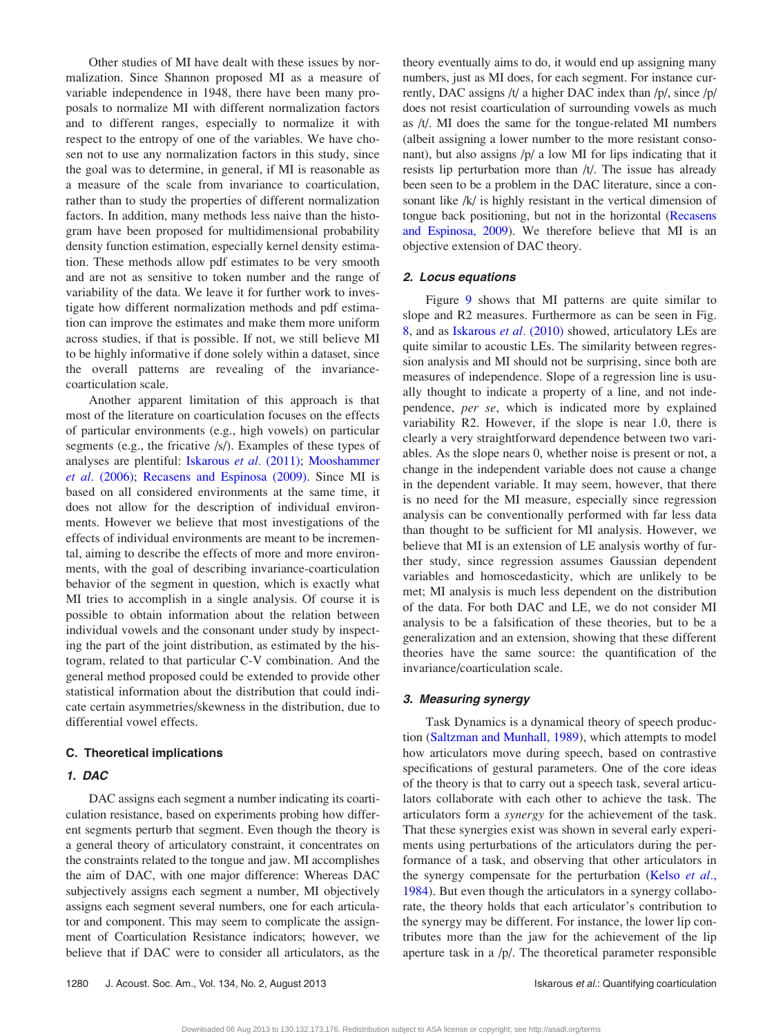<span id="page-9-0"></span>Other studies of MI have dealt with these issues by normalization. Since Shannon proposed MI as a measure of variable independence in 1948, there have been many proposals to normalize MI with different normalization factors and to different ranges, especially to normalize it with respect to the entropy of one of the variables. We have chosen not to use any normalization factors in this study, since the goal was to determine, in general, if MI is reasonable as a measure of the scale from invariance to coarticulation, rather than to study the properties of different normalization factors. In addition, many methods less naive than the histogram have been proposed for multidimensional probability density function estimation, especially kernel density estimation. These methods allow pdf estimates to be very smooth and are not as sensitive to token number and the range of variability of the data. We leave it for further work to investigate how different normalization methods and pdf estimation can improve the estimates and make them more uniform across studies, if that is possible. If not, we still believe MI to be highly informative if done solely within a dataset, since the overall patterns are revealing of the invariancecoarticulation scale.

Another apparent limitation of this approach is that most of the literature on coarticulation focuses on the effects of particular environments (e.g., high vowels) on particular segments (e.g., the fricative /s/). Examples of these types of analyses are plentiful: [Iskarous](#page-10-0) et al. (2011); [Mooshammer](#page-11-0) et al. [\(2006\);](#page-11-0) [Recasens and Espinosa \(2009\).](#page-11-0) Since MI is based on all considered environments at the same time, it does not allow for the description of individual environments. However we believe that most investigations of the effects of individual environments are meant to be incremental, aiming to describe the effects of more and more environments, with the goal of describing invariance-coarticulation behavior of the segment in question, which is exactly what MI tries to accomplish in a single analysis. Of course it is possible to obtain information about the relation between individual vowels and the consonant under study by inspecting the part of the joint distribution, as estimated by the histogram, related to that particular C-V combination. And the general method proposed could be extended to provide other statistical information about the distribution that could indicate certain asymmetries/skewness in the distribution, due to differential vowel effects.

## C. Theoretical implications

## 1. DAC

DAC assigns each segment a number indicating its coarticulation resistance, based on experiments probing how different segments perturb that segment. Even though the theory is a general theory of articulatory constraint, it concentrates on the constraints related to the tongue and jaw. MI accomplishes the aim of DAC, with one major difference: Whereas DAC subjectively assigns each segment a number, MI objectively assigns each segment several numbers, one for each articulator and component. This may seem to complicate the assignment of Coarticulation Resistance indicators; however, we believe that if DAC were to consider all articulators, as the theory eventually aims to do, it would end up assigning many numbers, just as MI does, for each segment. For instance currently, DAC assigns /t/ a higher DAC index than /p/, since /p/ does not resist coarticulation of surrounding vowels as much as /t/. MI does the same for the tongue-related MI numbers (albeit assigning a lower number to the more resistant consonant), but also assigns /p/ a low MI for lips indicating that it resists lip perturbation more than /t/. The issue has already been seen to be a problem in the DAC literature, since a consonant like /k/ is highly resistant in the vertical dimension of tongue back positioning, but not in the horizontal ([Recasens](#page-11-0) [and Espinosa, 2009](#page-11-0)). We therefore believe that MI is an objective extension of DAC theory.

#### 2. Locus equations

Figure [9](#page-7-0) shows that MI patterns are quite similar to slope and R2 measures. Furthermore as can be seen in Fig. [8](#page-6-0), and as [Iskarous](#page-10-0) et al. (2010) showed, articulatory LEs are quite similar to acoustic LEs. The similarity between regression analysis and MI should not be surprising, since both are measures of independence. Slope of a regression line is usually thought to indicate a property of a line, and not independence, per se, which is indicated more by explained variability R2. However, if the slope is near 1.0, there is clearly a very straightforward dependence between two variables. As the slope nears 0, whether noise is present or not, a change in the independent variable does not cause a change in the dependent variable. It may seem, however, that there is no need for the MI measure, especially since regression analysis can be conventionally performed with far less data than thought to be sufficient for MI analysis. However, we believe that MI is an extension of LE analysis worthy of further study, since regression assumes Gaussian dependent variables and homoscedasticity, which are unlikely to be met; MI analysis is much less dependent on the distribution of the data. For both DAC and LE, we do not consider MI analysis to be a falsification of these theories, but to be a generalization and an extension, showing that these different theories have the same source: the quantification of the invariance/coarticulation scale.

#### 3. Measuring synergy

Task Dynamics is a dynamical theory of speech production ([Saltzman and Munhall, 1989\)](#page-11-0), which attempts to model how articulators move during speech, based on contrastive specifications of gestural parameters. One of the core ideas of the theory is that to carry out a speech task, several articulators collaborate with each other to achieve the task. The articulators form a synergy for the achievement of the task. That these synergies exist was shown in several early experiments using perturbations of the articulators during the performance of a task, and observing that other articulators in the synergy compensate for the perturbation [\(Kelso](#page-11-0) *et al.*, [1984\)](#page-11-0). But even though the articulators in a synergy collaborate, the theory holds that each articulator's contribution to the synergy may be different. For instance, the lower lip contributes more than the jaw for the achievement of the lip aperture task in a /p/. The theoretical parameter responsible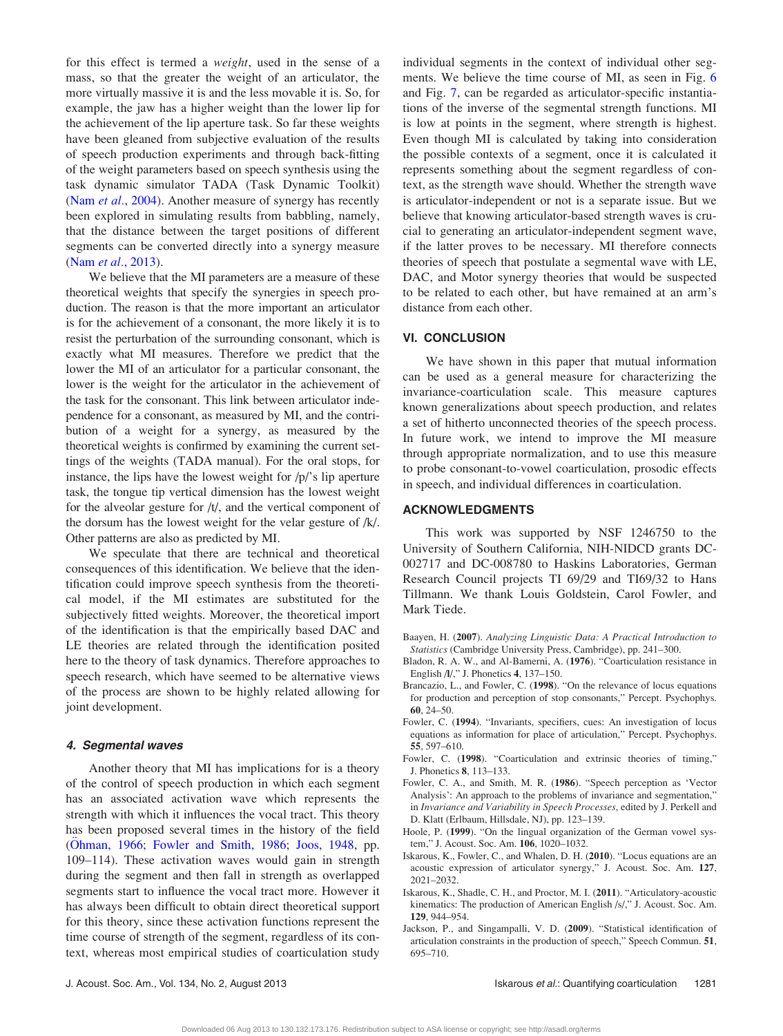<span id="page-10-0"></span>for this effect is termed a weight, used in the sense of a mass, so that the greater the weight of an articulator, the more virtually massive it is and the less movable it is. So, for example, the jaw has a higher weight than the lower lip for the achievement of the lip aperture task. So far these weights have been gleaned from subjective evaluation of the results of speech production experiments and through back-fitting of the weight parameters based on speech synthesis using the task dynamic simulator TADA (Task Dynamic Toolkit) (Nam *et al.*[, 2004\)](#page-11-0). Another measure of synergy has recently been explored in simulating results from babbling, namely, that the distance between the target positions of different segments can be converted directly into a synergy measure (Nam et al.[, 2013](#page-11-0)).

We believe that the MI parameters are a measure of these theoretical weights that specify the synergies in speech production. The reason is that the more important an articulator is for the achievement of a consonant, the more likely it is to resist the perturbation of the surrounding consonant, which is exactly what MI measures. Therefore we predict that the lower the MI of an articulator for a particular consonant, the lower is the weight for the articulator in the achievement of the task for the consonant. This link between articulator independence for a consonant, as measured by MI, and the contribution of a weight for a synergy, as measured by the theoretical weights is confirmed by examining the current settings of the weights (TADA manual). For the oral stops, for instance, the lips have the lowest weight for /p/'s lip aperture task, the tongue tip vertical dimension has the lowest weight for the alveolar gesture for /t/, and the vertical component of the dorsum has the lowest weight for the velar gesture of /k/. Other patterns are also as predicted by MI.

We speculate that there are technical and theoretical consequences of this identification. We believe that the identification could improve speech synthesis from the theoretical model, if the MI estimates are substituted for the subjectively fitted weights. Moreover, the theoretical import of the identification is that the empirically based DAC and LE theories are related through the identification posited here to the theory of task dynamics. Therefore approaches to speech research, which have seemed to be alternative views of the process are shown to be highly related allowing for joint development.

#### 4. Segmental waves

Another theory that MI has implications for is a theory of the control of speech production in which each segment has an associated activation wave which represents the strength with which it influences the vocal tract. This theory has been proposed several times in the history of the field ([Ohman, 1966](#page-11-0); Fowler and Smith, 1986; [Joos, 1948](#page-11-0), pp. 109–114). These activation waves would gain in strength during the segment and then fall in strength as overlapped segments start to influence the vocal tract more. However it has always been difficult to obtain direct theoretical support for this theory, since these activation functions represent the time course of strength of the segment, regardless of its context, whereas most empirical studies of coarticulation study individual segments in the context of individual other segments. We believe the time course of MI, as seen in Fig. [6](#page-6-0) and Fig. [7](#page-6-0), can be regarded as articulator-specific instantiations of the inverse of the segmental strength functions. MI is low at points in the segment, where strength is highest. Even though MI is calculated by taking into consideration the possible contexts of a segment, once it is calculated it represents something about the segment regardless of context, as the strength wave should. Whether the strength wave is articulator-independent or not is a separate issue. But we believe that knowing articulator-based strength waves is crucial to generating an articulator-independent segment wave, if the latter proves to be necessary. MI therefore connects theories of speech that postulate a segmental wave with LE, DAC, and Motor synergy theories that would be suspected to be related to each other, but have remained at an arm's distance from each other.

#### VI. CONCLUSION

We have shown in this paper that mutual information can be used as a general measure for characterizing the invariance-coarticulation scale. This measure captures known generalizations about speech production, and relates a set of hitherto unconnected theories of the speech process. In future work, we intend to improve the MI measure through appropriate normalization, and to use this measure to probe consonant-to-vowel coarticulation, prosodic effects in speech, and individual differences in coarticulation.

#### ACKNOWLEDGMENTS

This work was supported by NSF 1246750 to the University of Southern California, NIH-NIDCD grants DC-002717 and DC-008780 to Haskins Laboratories, German Research Council projects TI 69/29 and TI69/32 to Hans Tillmann. We thank Louis Goldstein, Carol Fowler, and Mark Tiede.

- Baayen, H. (2007). Analyzing Linguistic Data: A Practical Introduction to Statistics (Cambridge University Press, Cambridge), pp. 241–300.
- Bladon, R. A. W., and Al-Bamerni, A. (1976). "Coarticulation resistance in English /l/," J. Phonetics 4, 137–150.
- Brancazio, L., and Fowler, C. (1998). "On the relevance of locus equations for production and perception of stop consonants," Percept. Psychophys. 60, 24–50.
- Fowler, C. (1994). "Invariants, specifiers, cues: An investigation of locus equations as information for place of articulation," Percept. Psychophys. 55, 597–610.
- Fowler, C. (1998). "Coarticulation and extrinsic theories of timing," J. Phonetics 8, 113–133.
- Fowler, C. A., and Smith, M. R. (1986). "Speech perception as 'Vector Analysis': An approach to the problems of invariance and segmentation," in Invariance and Variability in Speech Processes, edited by J. Perkell and D. Klatt (Erlbaum, Hillsdale, NJ), pp. 123–139.
- Hoole, P. (1999). "On the lingual organization of the German vowel system," J. Acoust. Soc. Am. 106, 1020–1032.
- Iskarous, K., Fowler, C., and Whalen, D. H. (2010). "Locus equations are an acoustic expression of articulator synergy," J. Acoust. Soc. Am. 127, 2021–2032.
- Iskarous, K., Shadle, C. H., and Proctor, M. I. (2011). "Articulatory-acoustic kinematics: The production of American English /s/," J. Acoust. Soc. Am. 129, 944–954.
- Jackson, P., and Singampalli, V. D. (2009). "Statistical identification of articulation constraints in the production of speech," Speech Commun. 51, 695–710.

J. Acoust. Soc. Am., Vol. 134, No. 2, August 2013 **Iskarous et al.: Quantifying coarticulation** 1281